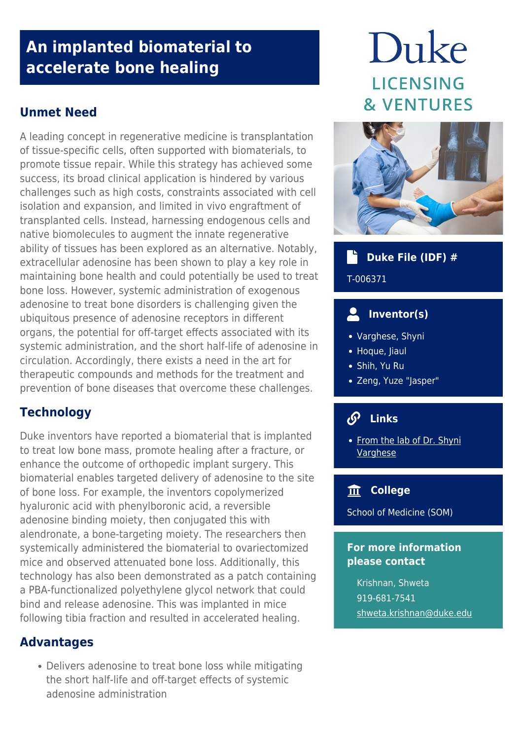# **An implanted biomaterial to accelerate bone healing**

# **Unmet Need**

A leading concept in regenerative medicine is transplantation of tissue-specific cells, often supported with biomaterials, to promote tissue repair. While this strategy has achieved some success, its broad clinical application is hindered by various challenges such as high costs, constraints associated with cell isolation and expansion, and limited in vivo engraftment of transplanted cells. Instead, harnessing endogenous cells and native biomolecules to augment the innate regenerative ability of tissues has been explored as an alternative. Notably, extracellular adenosine has been shown to play a key role in maintaining bone health and could potentially be used to treat bone loss. However, systemic administration of exogenous adenosine to treat bone disorders is challenging given the ubiquitous presence of adenosine receptors in different organs, the potential for off-target effects associated with its systemic administration, and the short half-life of adenosine in circulation. Accordingly, there exists a need in the art for therapeutic compounds and methods for the treatment and prevention of bone diseases that overcome these challenges.

# **Technology**

Duke inventors have reported a biomaterial that is implanted to treat low bone mass, promote healing after a fracture, or enhance the outcome of orthopedic implant surgery. This biomaterial enables targeted delivery of adenosine to the site of bone loss. For example, the inventors copolymerized hyaluronic acid with phenylboronic acid, a reversible adenosine binding moiety, then conjugated this with alendronate, a bone-targeting moiety. The researchers then systemically administered the biomaterial to ovariectomized mice and observed attenuated bone loss. Additionally, this technology has also been demonstrated as a patch containing a PBA-functionalized polyethylene glycol network that could bind and release adenosine. This was implanted in mice following tibia fraction and resulted in accelerated healing.

## **Advantages**

Delivers adenosine to treat bone loss while mitigating the short half-life and off-target effects of systemic adenosine administration

# Duke **LICENSING** & VENTURES



#### Th<sub>e</sub>  **Duke File (IDF) #**

T-006371

# **Inventor(s)**

- Varghese, Shyni
- Hoque, Jiaul
- Shih, Yu Ru
- Zeng, Yuze "Jasper"

#### $\mathcal{S}$  **Links**

• [From the lab of Dr. Shyni](http://varghese.pratt.duke.edu/research/tissue-engineering-and-regenerative-medicine) [Varghese](http://varghese.pratt.duke.edu/research/tissue-engineering-and-regenerative-medicine)

# **College**

School of Medicine (SOM)

### **For more information please contact**

Krishnan, Shweta 919-681-7541 [shweta.krishnan@duke.edu](mailto:shweta.krishnan@duke.edu)